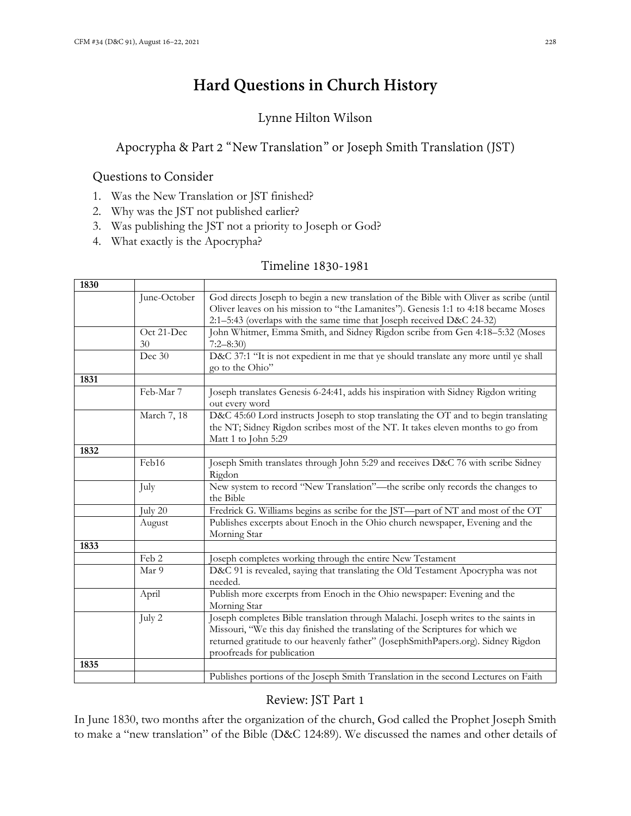# **Hard Questions in Church History**

# Lynne Hilton Wilson

# Apocrypha & Part 2 "New Translation" or Joseph Smith Translation (JST)

## Questions to Consider

- 1. Was the New Translation or JST finished?
- 2. Why was the JST not published earlier?
- 3. Was publishing the JST not a priority to Joseph or God?
- 4. What exactly is the Apocrypha?

## Timeline 1830-1981

| 1830 |                  |                                                                                                                                                                                                                                                                                         |
|------|------------------|-----------------------------------------------------------------------------------------------------------------------------------------------------------------------------------------------------------------------------------------------------------------------------------------|
|      | June-October     | God directs Joseph to begin a new translation of the Bible with Oliver as scribe (until<br>Oliver leaves on his mission to "the Lamanites"). Genesis 1:1 to 4:18 became Moses<br>2:1-5:43 (overlaps with the same time that Joseph received D&C 24-32)                                  |
|      | Oct 21-Dec<br>30 | John Whitmer, Emma Smith, and Sidney Rigdon scribe from Gen 4:18-5:32 (Moses<br>$7:2 - 8:30$                                                                                                                                                                                            |
|      | Dec 30           | D&C 37:1 "It is not expedient in me that ye should translate any more until ye shall<br>go to the Ohio"                                                                                                                                                                                 |
| 1831 |                  |                                                                                                                                                                                                                                                                                         |
|      | Feb-Mar 7        | Joseph translates Genesis 6-24:41, adds his inspiration with Sidney Rigdon writing<br>out every word                                                                                                                                                                                    |
|      | March 7, 18      | D&C 45:60 Lord instructs Joseph to stop translating the OT and to begin translating<br>the NT; Sidney Rigdon scribes most of the NT. It takes eleven months to go from<br>Matt 1 to John 5:29                                                                                           |
| 1832 |                  |                                                                                                                                                                                                                                                                                         |
|      | Feb16            | Joseph Smith translates through John 5:29 and receives D&C 76 with scribe Sidney<br>Rigdon                                                                                                                                                                                              |
|      | July             | New system to record "New Translation"—the scribe only records the changes to<br>the Bible                                                                                                                                                                                              |
|      | July 20          | Fredrick G. Williams begins as scribe for the JST-part of NT and most of the OT                                                                                                                                                                                                         |
|      | August           | Publishes excerpts about Enoch in the Ohio church newspaper, Evening and the<br>Morning Star                                                                                                                                                                                            |
| 1833 |                  |                                                                                                                                                                                                                                                                                         |
|      | Feb 2            | Joseph completes working through the entire New Testament                                                                                                                                                                                                                               |
|      | Mar 9            | D&C 91 is revealed, saying that translating the Old Testament Apocrypha was not<br>needed.                                                                                                                                                                                              |
|      | April            | Publish more excerpts from Enoch in the Ohio newspaper: Evening and the<br>Morning Star                                                                                                                                                                                                 |
|      | July 2           | Joseph completes Bible translation through Malachi. Joseph writes to the saints in<br>Missouri, "We this day finished the translating of the Scriptures for which we<br>returned gratitude to our heavenly father" (JosephSmithPapers.org). Sidney Rigdon<br>proofreads for publication |
| 1835 |                  |                                                                                                                                                                                                                                                                                         |
|      |                  | Publishes portions of the Joseph Smith Translation in the second Lectures on Faith                                                                                                                                                                                                      |

# Review: JST Part 1

In June 1830, two months after the organization of the church, God called the Prophet Joseph Smith to make a "new translation" of the Bible (D&C 124:89). We discussed the names and other details of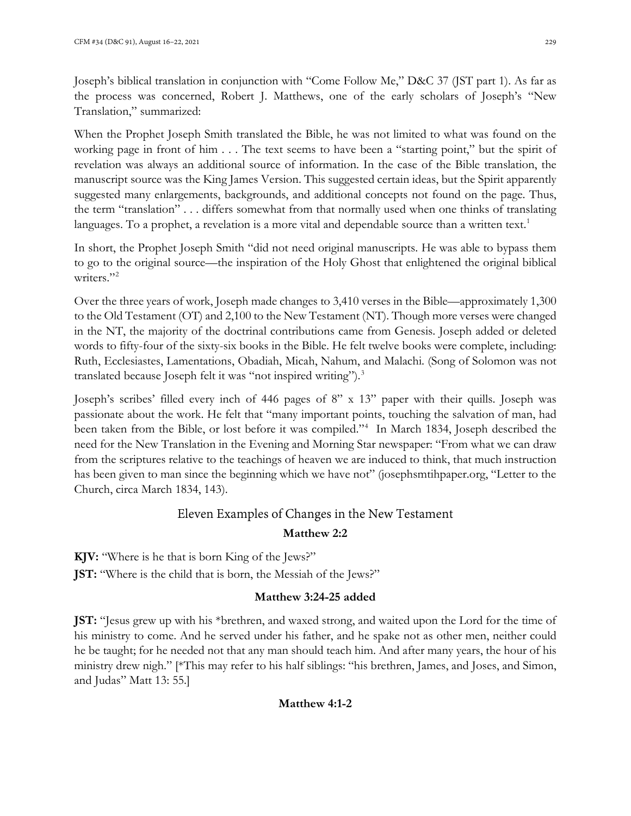When the Prophet Joseph Smith translated the Bible, he was not limited to what was found on the working page in front of him . . . The text seems to have been a "starting point," but the spirit of revelation was always an additional source of information. In the case of the Bible translation, the manuscript source was the King James Version. This suggested certain ideas, but the Spirit apparently suggested many enlargements, backgrounds, and additional concepts not found on the page. Thus, the term "translation" . . . differs somewhat from that normally used when one thinks of translating languages. To a prophet, a revelation is a more vital and dependable source than a written text.<sup>[1](#page-8-0)</sup>

In short, the Prophet Joseph Smith "did not need original manuscripts. He was able to bypass them to go to the original source—the inspiration of the Holy Ghost that enlightened the original biblical writers."<sup>[2](#page-8-1)</sup>

Over the three years of work, Joseph made changes to 3,410 verses in the Bible—approximately 1,300 to the Old Testament (OT) and 2,100 to the New Testament (NT). Though more verses were changed in the NT, the majority of the doctrinal contributions came from Genesis. Joseph added or deleted words to fifty-four of the sixty-six books in the Bible. He felt twelve books were complete, including: Ruth, Ecclesiastes, Lamentations, Obadiah, Micah, Nahum, and Malachi. (Song of Solomon was not translated because Joseph felt it was "not inspired writing").<sup>[3](#page-8-2)</sup>

Joseph's scribes' filled every inch of 446 pages of 8" x 13" paper with their quills. Joseph was passionate about the work. He felt that "many important points, touching the salvation of man, had been taken from the Bible, or lost before it was compiled."<sup>[4](#page-8-3)</sup> In March 1834, Joseph described the need for the New Translation in the Evening and Morning Star newspaper: "From what we can draw from the scriptures relative to the teachings of heaven we are induced to think, that much instruction has been given to man since the beginning which we have not" (josephsmtihpaper.org, "Letter to the Church, circa March 1834, 143).

# Eleven Examples of Changes in the New Testament

# **Matthew 2:2**

**KJV:** "Where is he that is born King of the Jews?"

**JST:** "Where is the child that is born, the Messiah of the Jews?"

# **Matthew 3:24-25 added**

**JST:** "Jesus grew up with his \*brethren, and waxed strong, and waited upon the Lord for the time of his ministry to come. And he served under his father, and he spake not as other men, neither could he be taught; for he needed not that any man should teach him. And after many years, the hour of his ministry drew nigh." [\*This may refer to his half siblings: "his brethren, James, and Joses, and Simon, and Judas" Matt 13: 55.]

## **Matthew 4:1-2**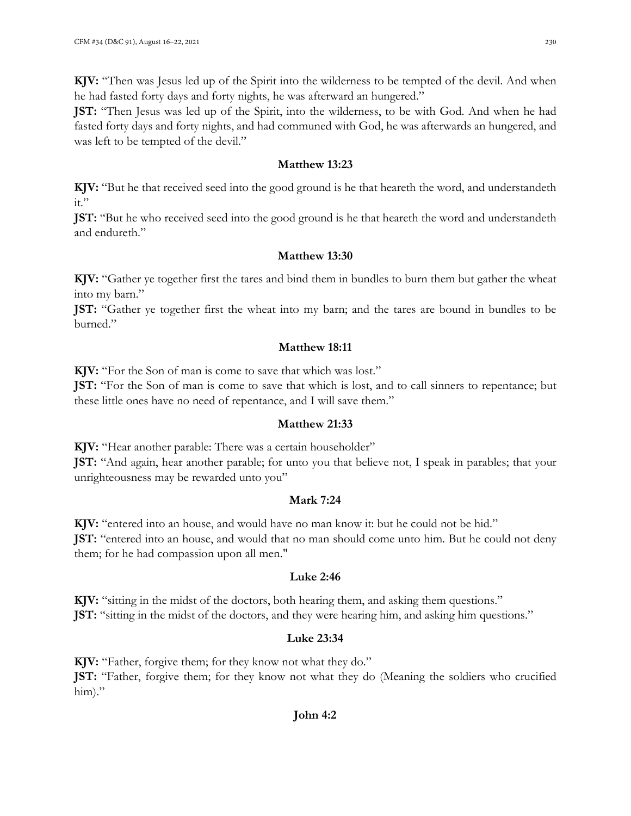**KJV:** "Then was Jesus led up of the Spirit into the wilderness to be tempted of the devil. And when he had fasted forty days and forty nights, he was afterward an hungered."

**JST:** "Then Jesus was led up of the Spirit, into the wilderness, to be with God. And when he had fasted forty days and forty nights, and had communed with God, he was afterwards an hungered, and was left to be tempted of the devil."

#### **Matthew 13:23**

**KJV:** "But he that received seed into the good ground is he that heareth the word, and understandeth  $it."$ 

**JST:** "But he who received seed into the good ground is he that heareth the word and understandeth and endureth."

#### **Matthew 13:30**

**KJV:** "Gather ye together first the tares and bind them in bundles to burn them but gather the wheat into my barn."

**JST:** "Gather ye together first the wheat into my barn; and the tares are bound in bundles to be burned."

#### **Matthew 18:11**

**KJV:** "For the Son of man is come to save that which was lost."

**JST:** "For the Son of man is come to save that which is lost, and to call sinners to repentance; but these little ones have no need of repentance, and I will save them."

#### **Matthew 21:33**

**KJV:** "Hear another parable: There was a certain householder" **JST:** "And again, hear another parable; for unto you that believe not, I speak in parables; that your

unrighteousness may be rewarded unto you"

## **Mark 7:24**

**KJV:** "entered into an house, and would have no man know it: but he could not be hid." **JST:** "entered into an house, and would that no man should come unto him. But he could not deny them; for he had compassion upon all men."

## **Luke 2:46**

**KJV:** "sitting in the midst of the doctors, both hearing them, and asking them questions." **JST:** "sitting in the midst of the doctors, and they were hearing him, and asking him questions."

# **Luke 23:34**

**KJV:** "Father, forgive them; for they know not what they do." **JST:** "Father, forgive them; for they know not what they do (Meaning the soldiers who crucified him)."

## **John 4:2**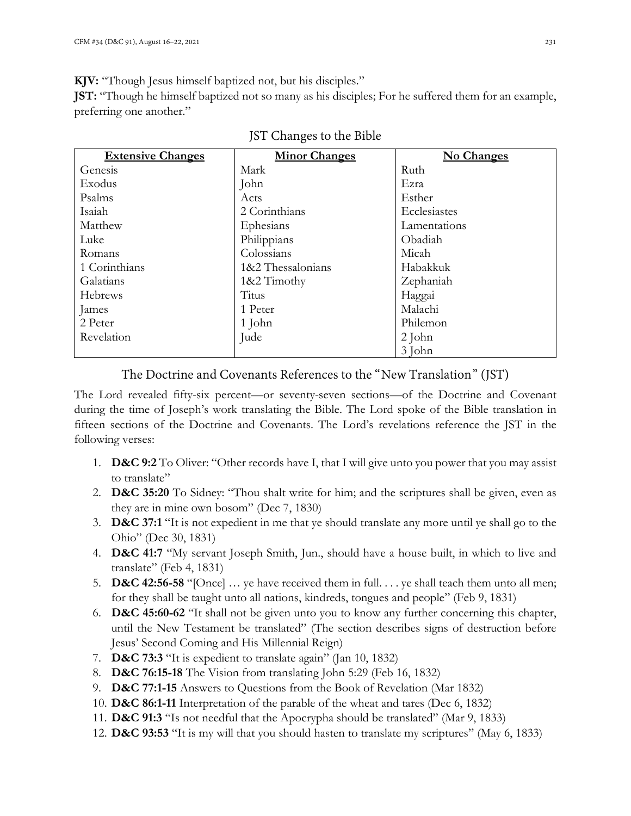**KJV:** "Though Jesus himself baptized not, but his disciples."

**JST:** "Though he himself baptized not so many as his disciples; For he suffered them for an example, preferring one another."

| <b>Extensive Changes</b> | <b>Minor Changes</b> | No Changes   |
|--------------------------|----------------------|--------------|
| Genesis                  | Mark                 | Ruth         |
| Exodus                   | John                 | Ezra         |
| Psalms                   | Acts                 | Esther       |
| Isaiah                   | 2 Corinthians        | Ecclesiastes |
| Matthew                  | Ephesians            | Lamentations |
| Luke                     | Philippians          | Obadiah      |
| Romans                   | Colossians           | Micah        |
| 1 Corinthians            | 1&2 Thessalonians    | Habakkuk     |
| Galatians                | 1&2 Timothy          | Zephaniah    |
| Hebrews                  | Titus                | Haggai       |
| James                    | 1 Peter              | Malachi      |
| 2 Peter                  | 1 John               | Philemon     |
| Revelation               | Jude                 | 2 John       |
|                          |                      | 3 John       |

JST Changes to the Bible

# The Doctrine and Covenants References to the "New Translation" (JST)

The Lord revealed fifty-six percent—or seventy-seven sections—of the Doctrine and Covenant during the time of Joseph's work translating the Bible. The Lord spoke of the Bible translation in fifteen sections of the Doctrine and Covenants. The Lord's revelations reference the JST in the following verses:

- 1. **D&C 9:2** To Oliver: "Other records have I, that I will give unto you power that you may assist to translate"
- 2. **D&C 35:20** To Sidney: "Thou shalt write for him; and the scriptures shall be given, even as they are in mine own bosom" (Dec 7, 1830)
- 3. **D&C 37:1** "It is not expedient in me that ye should translate any more until ye shall go to the Ohio" (Dec 30, 1831)
- 4. **D&C 41:7** "My servant Joseph Smith, Jun., should have a house built, in which to live and translate" (Feb 4, 1831)
- 5. **D&C 42:56-58** "[Once] … ye have received them in full. . . . ye shall teach them unto all men; for they shall be taught unto all nations, kindreds, tongues and people" (Feb 9, 1831)
- 6. **D&C 45:60-62** "It shall not be given unto you to know any further concerning this chapter, until the New Testament be translated" (The section describes signs of destruction before Jesus' Second Coming and His Millennial Reign)
- 7. **D&C 73:3** "It is expedient to translate again" (Jan 10, 1832)
- 8. **D&C 76:15-18** The Vision from translating John 5:29 (Feb 16, 1832)
- 9. **D&C 77:1-15** Answers to Questions from the Book of Revelation (Mar 1832)
- 10. **D&C 86:1-11** Interpretation of the parable of the wheat and tares (Dec 6, 1832)
- 11. **D&C 91:3** "Is not needful that the Apocrypha should be translated" (Mar 9, 1833)
- 12. **D&C 93:53** "It is my will that you should hasten to translate my scriptures" (May 6, 1833)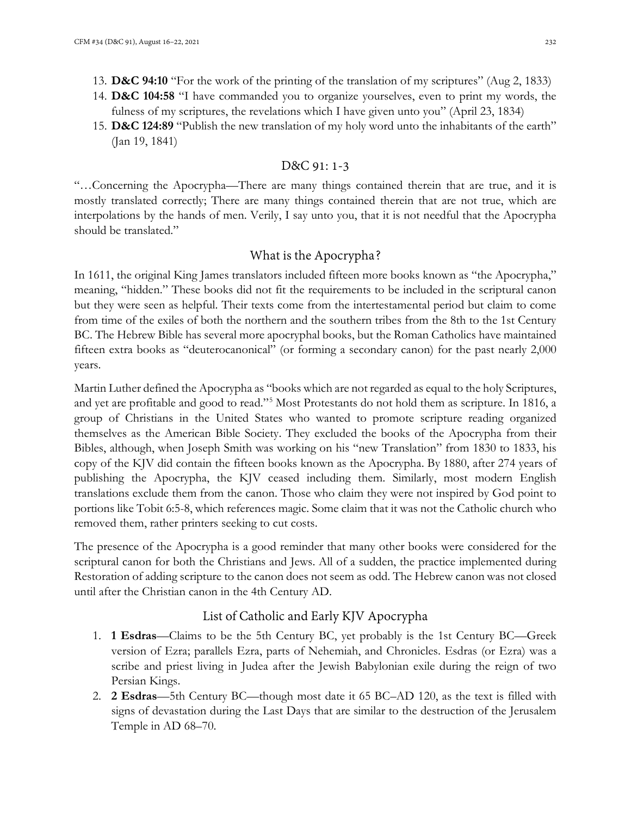- 13. **D&C 94:10** "For the work of the printing of the translation of my scriptures" (Aug 2, 1833)
- 14. **D&C 104:58** "I have commanded you to organize yourselves, even to print my words, the fulness of my scriptures, the revelations which I have given unto you" (April 23, 1834)
- 15. **D&C 124:89** "Publish the new translation of my holy word unto the inhabitants of the earth" (Jan 19, 1841)

#### D&C 91: 1-3

"…Concerning the Apocrypha—There are many things contained therein that are true, and it is mostly translated correctly; There are many things contained therein that are not true, which are interpolations by the hands of men. Verily, I say unto you, that it is not needful that the Apocrypha should be translated."

#### What is the Apocrypha?

In 1611, the original King James translators included fifteen more books known as "the Apocrypha," meaning, "hidden." These books did not fit the requirements to be included in the scriptural canon but they were seen as helpful. Their texts come from the intertestamental period but claim to come from time of the exiles of both the northern and the southern tribes from the 8th to the 1st Century BC. The Hebrew Bible has several more apocryphal books, but the Roman Catholics have maintained fifteen extra books as "deuterocanonical" (or forming a secondary canon) for the past nearly 2,000 years.

Martin Luther defined the Apocrypha as "books which are not regarded as equal to the holy Scriptures, and yet are profitable and good to read."[5](#page-8-4) Most Protestants do not hold them as scripture. In 1816, a group of Christians in the United States who wanted to promote scripture reading organized themselves as the American Bible Society. They excluded the books of the Apocrypha from their Bibles, although, when Joseph Smith was working on his "new Translation" from 1830 to 1833, his copy of the KJV did contain the fifteen books known as the Apocrypha. By 1880, after 274 years of publishing the Apocrypha, the KJV ceased including them. Similarly, most modern English translations exclude them from the canon. Those who claim they were not inspired by God point to portions like Tobit 6:5-8, which references magic. Some claim that it was not the Catholic church who removed them, rather printers seeking to cut costs.

The presence of the Apocrypha is a good reminder that many other books were considered for the scriptural canon for both the Christians and Jews. All of a sudden, the practice implemented during Restoration of adding scripture to the canon does not seem as odd. The Hebrew canon was not closed until after the Christian canon in the 4th Century AD.

## List of Catholic and Early KJV Apocrypha

- 1. **1 Esdras**—Claims to be the 5th Century BC, yet probably is the 1st Century BC—Greek version of Ezra; parallels Ezra, parts of Nehemiah, and Chronicles. Esdras (or Ezra) was a scribe and priest living in Judea after the Jewish Babylonian exile during the reign of two Persian Kings.
- 2. **2 Esdras**—5th Century BC—though most date it 65 BC–AD 120, as the text is filled with signs of devastation during the Last Days that are similar to the destruction of the Jerusalem Temple in AD 68–70.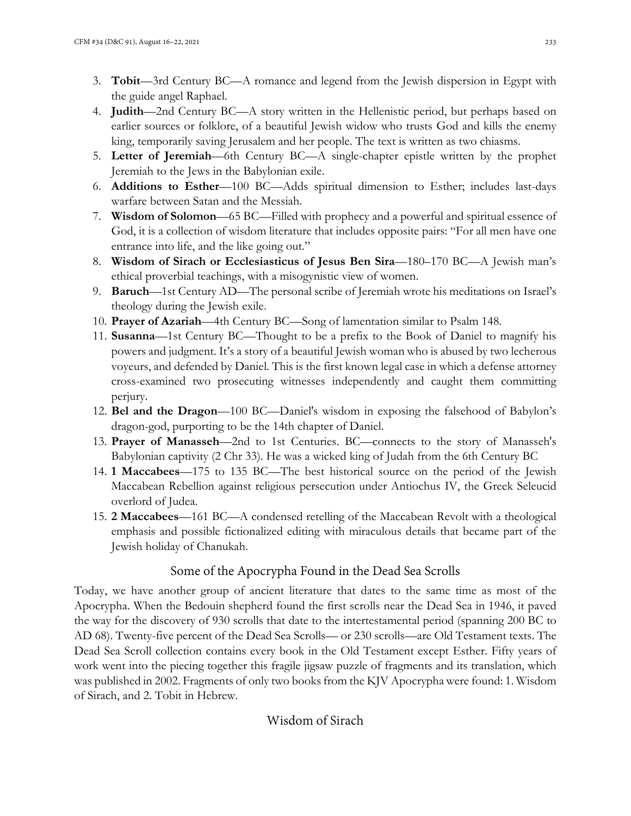- 3. **Tobit**—3rd Century BC—A romance and legend from the Jewish dispersion in Egypt with the guide angel Raphael.
- 4. **Judith**—2nd Century BC—A story written in the Hellenistic period, but perhaps based on earlier sources or folklore, of a beautiful Jewish widow who trusts God and kills the enemy king, temporarily saving Jerusalem and her people. The text is written as two chiasms.
- 5. **Letter of Jeremiah**—6th Century BC—A single-chapter epistle written by the prophet Jeremiah to the Jews in the Babylonian exile.
- 6. **Additions to Esther**—100 BC—Adds spiritual dimension to Esther; includes last-days warfare between Satan and the Messiah.
- 7. **Wisdom of Solomon**—65 BC—Filled with prophecy and a powerful and spiritual essence of God, it is a collection of wisdom literature that includes opposite pairs: "For all men have one entrance into life, and the like going out."
- 8. **Wisdom of Sirach or Ecclesiasticus of Jesus Ben Sira**—180–170 BC—A Jewish man's ethical proverbial teachings, with a misogynistic view of women.
- 9. **Baruch**—1st Century AD—The personal scribe of Jeremiah wrote his meditations on Israel's theology during the Jewish exile.
- 10. **Prayer of Azariah**—4th Century BC—Song of lamentation similar to Psalm 148.
- 11. **Susanna**—1st Century BC—Thought to be a prefix to the Book of Daniel to magnify his powers and judgment. It's a story of a beautiful Jewish woman who is abused by two lecherous voyeurs, and defended by Daniel. This is the first known legal case in which a defense attorney cross-examined two prosecuting witnesses independently and caught them committing perjury.
- 12. **Bel and the Dragon**—100 BC—Daniel's wisdom in exposing the falsehood of Babylon's dragon-god, purporting to be the 14th chapter of Daniel.
- 13. **Prayer of Manasseh**—2nd to 1st Centuries. BC—connects to the story of Manasseh's Babylonian captivity (2 Chr 33). He was a wicked king of Judah from the 6th Century BC
- 14. **1 Maccabees**—175 to 135 BC—The best historical source on the period of the Jewish Maccabean Rebellion against religious persecution under Antiochus IV, the Greek Seleucid overlord of Judea.
- 15. **2 Maccabees**—161 BC—A condensed retelling of the Maccabean Revolt with a theological emphasis and possible fictionalized editing with miraculous details that became part of the Jewish holiday of Chanukah.

# Some of the Apocrypha Found in the Dead Sea Scrolls

Today, we have another group of ancient literature that dates to the same time as most of the Apocrypha. When the Bedouin shepherd found the first scrolls near the Dead Sea in 1946, it paved the way for the discovery of 930 scrolls that date to the intertestamental period (spanning 200 BC to AD 68). Twenty-five percent of the Dead Sea Scrolls— or 230 scrolls—are Old Testament texts. The Dead Sea Scroll collection contains every book in the Old Testament except Esther. Fifty years of work went into the piecing together this fragile jigsaw puzzle of fragments and its translation, which was published in 2002. Fragments of only two books from the KJV Apocrypha were found: 1. Wisdom of Sirach, and 2. Tobit in Hebrew.

## Wisdom of Sirach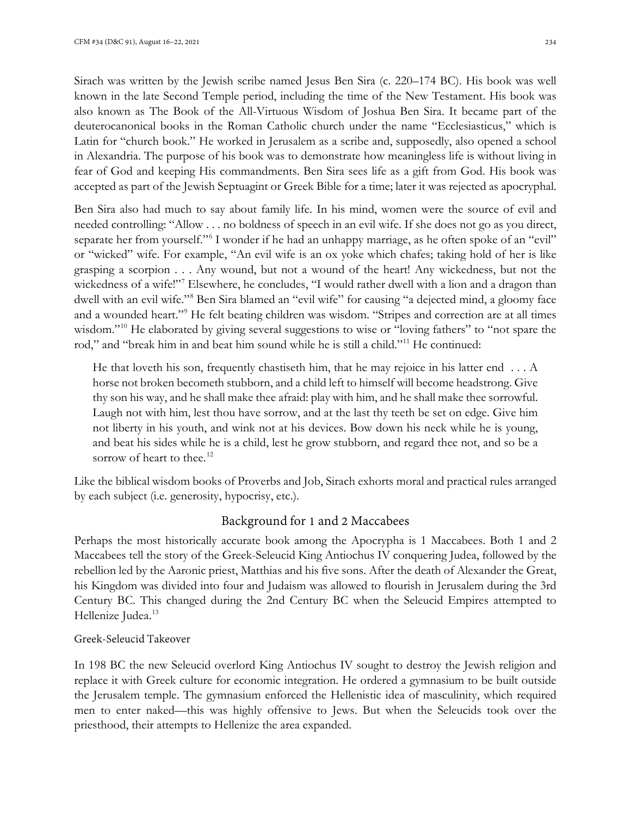Sirach was written by the Jewish scribe named Jesus Ben Sira (c. 220–174 BC). His book was well known in the late Second Temple period, including the time of the New Testament. His book was also known as The Book of the All-Virtuous Wisdom of Joshua Ben Sira. It became part of the deuterocanonical books in the Roman Catholic church under the name "Ecclesiasticus," which is Latin for "church book." He worked in Jerusalem as a scribe and, supposedly, also opened a school in Alexandria. The purpose of his book was to demonstrate how meaningless life is without living in fear of God and keeping His commandments. Ben Sira sees life as a gift from God. His book was accepted as part of the Jewish Septuagint or Greek Bible for a time; later it was rejected as apocryphal.

Ben Sira also had much to say about family life. In his mind, women were the source of evil and needed controlling: "Allow . . . no boldness of speech in an evil wife. If she does not go as you direct, separate her from yourself."[6](#page-8-5) I wonder if he had an unhappy marriage, as he often spoke of an "evil" or "wicked" wife. For example, "An evil wife is an ox yoke which chafes; taking hold of her is like grasping a scorpion . . . Any wound, but not a wound of the heart! Any wickedness, but not the wickedness of a wife!"<sup>[7](#page-8-6)</sup> Elsewhere, he concludes, "I would rather dwell with a lion and a dragon than dwell with an evil wife.["8](#page-8-7) Ben Sira blamed an "evil wife" for causing "a dejected mind, a gloomy face and a wounded heart."[9](#page-8-8) He felt beating children was wisdom. "Stripes and correction are at all times wisdom."<sup>[10](#page-8-9)</sup> He elaborated by giving several suggestions to wise or "loving fathers" to "not spare the rod," and "break him in and beat him sound while he is still a child."[11](#page-8-10) He continued:

He that loveth his son, frequently chastiseth him, that he may rejoice in his latter end  $\dots$  A horse not broken becometh stubborn, and a child left to himself will become headstrong. Give thy son his way, and he shall make thee afraid: play with him, and he shall make thee sorrowful. Laugh not with him, lest thou have sorrow, and at the last thy teeth be set on edge. Give him not liberty in his youth, and wink not at his devices. Bow down his neck while he is young, and beat his sides while he is a child, lest he grow stubborn, and regard thee not, and so be a sorrow of heart to thee.<sup>[12](#page-8-11)</sup>

Like the biblical wisdom books of Proverbs and Job, Sirach exhorts moral and practical rules arranged by each subject (i.e. generosity, hypocrisy, etc.).

## Background for 1 and 2 Maccabees

Perhaps the most historically accurate book among the Apocrypha is 1 Maccabees. Both 1 and 2 Maccabees tell the story of the Greek-Seleucid King Antiochus IV conquering Judea, followed by the rebellion led by the Aaronic priest, Matthias and his five sons. After the death of Alexander the Great, his Kingdom was divided into four and Judaism was allowed to flourish in Jerusalem during the 3rd Century BC. This changed during the 2nd Century BC when the Seleucid Empires attempted to Hellenize Judea.<sup>13</sup>

#### Greek-Seleucid Takeover

In 198 BC the new Seleucid overlord King Antiochus IV sought to destroy the Jewish religion and replace it with Greek culture for economic integration. He ordered a gymnasium to be built outside the Jerusalem temple. The gymnasium enforced the Hellenistic idea of masculinity, which required men to enter naked—this was highly offensive to Jews. But when the Seleucids took over the priesthood, their attempts to Hellenize the area expanded.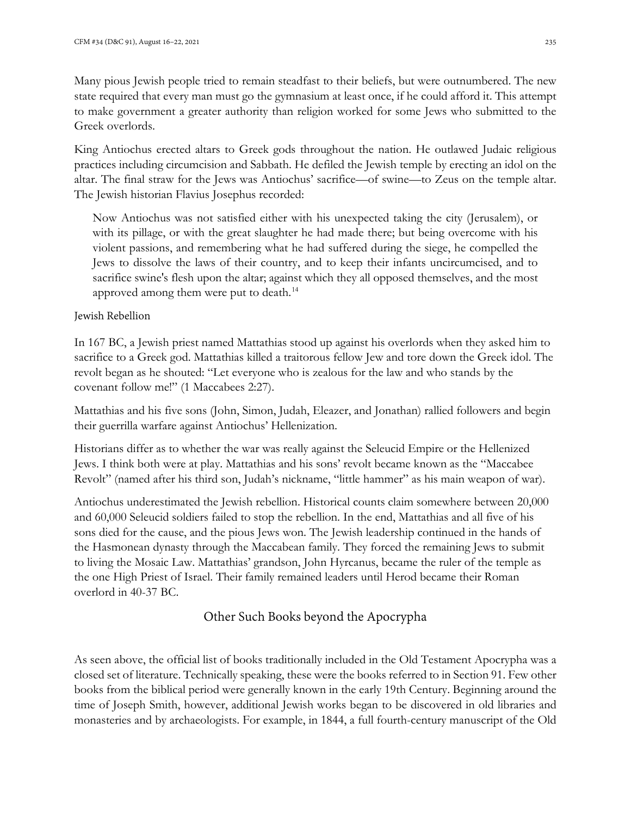Many pious Jewish people tried to remain steadfast to their beliefs, but were outnumbered. The new state required that every man must go the gymnasium at least once, if he could afford it. This attempt to make government a greater authority than religion worked for some Jews who submitted to the Greek overlords.

King Antiochus erected altars to Greek gods throughout the nation. He outlawed Judaic religious practices including circumcision and Sabbath. He defiled the Jewish temple by erecting an idol on the altar. The final straw for the Jews was Antiochus' sacrifice—of swine—to Zeus on the temple altar. The Jewish historian Flavius Josephus recorded:

Now Antiochus was not satisfied either with his unexpected taking the city (Jerusalem), or with its pillage, or with the great slaughter he had made there; but being overcome with his violent passions, and remembering what he had suffered during the siege, he compelled the Jews to dissolve the laws of their country, and to keep their infants uncircumcised, and to sacrifice swine's flesh upon the altar; against which they all opposed themselves, and the most approved among them were put to death.<sup>[14](#page-9-1)</sup>

#### Jewish Rebellion

In 167 BC, a Jewish priest named Mattathias stood up against his overlords when they asked him to sacrifice to a Greek god. Mattathias killed a traitorous fellow Jew and tore down the Greek idol. The revolt began as he shouted: "Let everyone who is zealous for the law and who stands by the covenant follow me!" (1 Maccabees 2:27).

Mattathias and his five sons (John, Simon, Judah, Eleazer, and Jonathan) rallied followers and begin their guerrilla warfare against Antiochus' Hellenization.

Historians differ as to whether the war was really against the Seleucid Empire or the Hellenized Jews. I think both were at play. Mattathias and his sons' revolt became known as the "Maccabee Revolt" (named after his third son, Judah's nickname, "little hammer" as his main weapon of war).

Antiochus underestimated the Jewish rebellion. Historical counts claim somewhere between 20,000 and 60,000 Seleucid soldiers failed to stop the rebellion. In the end, Mattathias and all five of his sons died for the cause, and the pious Jews won. The Jewish leadership continued in the hands of the Hasmonean dynasty through the Maccabean family. They forced the remaining Jews to submit to living the Mosaic Law. Mattathias' grandson, John Hyrcanus, became the ruler of the temple as the one High Priest of Israel. Their family remained leaders until Herod became their Roman overlord in 40-37 BC.

# Other Such Books beyond the Apocrypha

As seen above, the official list of books traditionally included in the Old Testament Apocrypha was a closed set of literature. Technically speaking, these were the books referred to in Section 91. Few other books from the biblical period were generally known in the early 19th Century. Beginning around the time of Joseph Smith, however, additional Jewish works began to be discovered in old libraries and monasteries and by archaeologists. For example, in 1844, a full fourth-century manuscript of the Old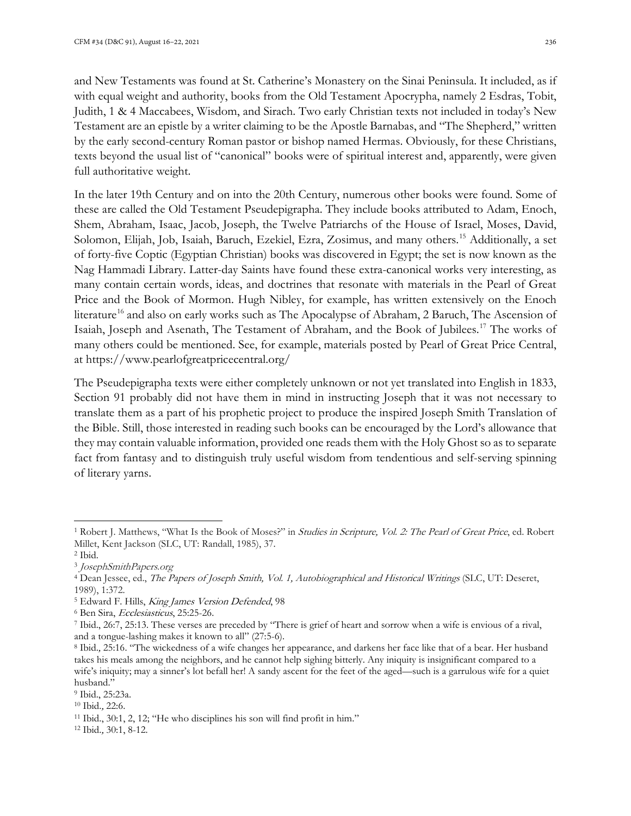and New Testaments was found at St. Catherine's Monastery on the Sinai Peninsula. It included, as if with equal weight and authority, books from the Old Testament Apocrypha, namely 2 Esdras, Tobit, Judith, 1 & 4 Maccabees, Wisdom, and Sirach. Two early Christian texts not included in today's New Testament are an epistle by a writer claiming to be the Apostle Barnabas, and "The Shepherd," written by the early second-century Roman pastor or bishop named Hermas. Obviously, for these Christians, texts beyond the usual list of "canonical" books were of spiritual interest and, apparently, were given full authoritative weight.

In the later 19th Century and on into the 20th Century, numerous other books were found. Some of these are called the Old Testament Pseudepigrapha. They include books attributed to Adam, Enoch, Shem, Abraham, Isaac, Jacob, Joseph, the Twelve Patriarchs of the House of Israel, Moses, David, Solomon, Elijah, Job, Isaiah, Baruch, Ezekiel, Ezra, Zosimus, and many others.<sup>[15](#page-9-2)</sup> Additionally, a set of forty-five Coptic (Egyptian Christian) books was discovered in Egypt; the set is now known as the Nag Hammadi Library. Latter-day Saints have found these extra-canonical works very interesting, as many contain certain words, ideas, and doctrines that resonate with materials in the Pearl of Great Price and the Book of Mormon. Hugh Nibley, for example, has written extensively on the Enoch literature<sup>[16](#page-9-3)</sup> and also on early works such as The Apocalypse of Abraham, 2 Baruch, The Ascension of Isaiah, Joseph and Asenath, The Testament of Abraham, and the Book of Jubilees.[17](#page-9-4) The works of many others could be mentioned. See, for example, materials posted by Pearl of Great Price Central, at https://www.pearlofgreatpricecentral.org/

The Pseudepigrapha texts were either completely unknown or not yet translated into English in 1833, Section 91 probably did not have them in mind in instructing Joseph that it was not necessary to translate them as a part of his prophetic project to produce the inspired Joseph Smith Translation of the Bible. Still, those interested in reading such books can be encouraged by the Lord's allowance that they may contain valuable information, provided one reads them with the Holy Ghost so as to separate fact from fantasy and to distinguish truly useful wisdom from tendentious and self-serving spinning of literary yarns.

<span id="page-8-0"></span><sup>&</sup>lt;sup>1</sup> Robert J. Matthews, "What Is the Book of Moses?" in *Studies in Scripture, Vol. 2: The Pearl of Great Price*, ed. Robert Millet, Kent Jackson (SLC, UT: Randall, 1985), 37.

<span id="page-8-1"></span><sup>2</sup> Ibid.

<span id="page-8-2"></span><sup>3</sup> JosephSmithPapers.org

<span id="page-8-3"></span><sup>4</sup> Dean Jessee, ed., The Papers of Joseph Smith, Vol. 1, Autobiographical and Historical Writings (SLC, UT: Deseret, 1989), 1:372.

<span id="page-8-4"></span><sup>&</sup>lt;sup>5</sup> Edward F. Hills, King James Version Defended, 98

<span id="page-8-5"></span><sup>&</sup>lt;sup>6</sup> Ben Sira, *Ecclesiasticus*, 25:25-26.

<span id="page-8-6"></span><sup>7</sup> Ibid., 26:7, 25:13. These verses are preceded by "There is grief of heart and sorrow when a wife is envious of a rival, and a tongue-lashing makes it known to all" (27:5-6).

<span id="page-8-7"></span><sup>8</sup> Ibid., 25:16. "The wickedness of a wife changes her appearance, and darkens her face like that of a bear. Her husband takes his meals among the neighbors, and he cannot help sighing bitterly. Any iniquity is insignificant compared to a wife's iniquity; may a sinner's lot befall her! A sandy ascent for the feet of the aged—such is a garrulous wife for a quiet husband."

<span id="page-8-9"></span><span id="page-8-8"></span><sup>9</sup> Ibid., 25:23a.

<sup>10</sup> Ibid., 22:6.

<span id="page-8-10"></span><sup>11</sup> Ibid., 30:1, 2, 12; "He who disciplines his son will find profit in him."

<span id="page-8-11"></span><sup>12</sup> Ibid., 30:1, 8-12.